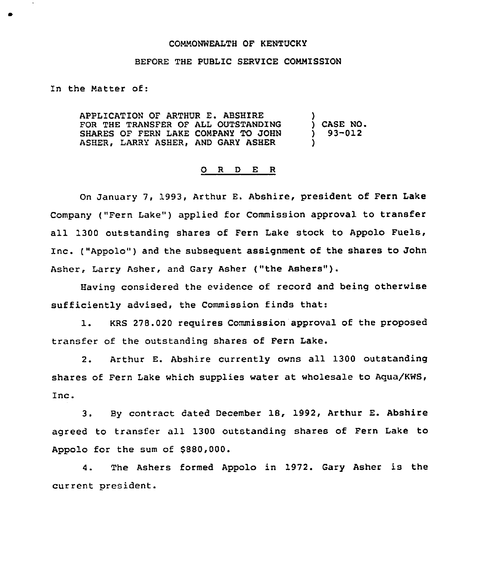## COMMONWEALTH OF KENTUCKY

## BEFORE THE PUBLIC SERVICE COMMISSION

In the Matter of:

APPLICATION OF ARTHUR E. ABSHIRE FOR THE TRANSFER OF ALL OUTSTANDING SHARES OF FERN LAKE COMPANY TO JOHN ASHER, LARRY ASHER, AND GARY ASHER ) ) CASE NO. ) 93-012 )

## O R D E R

On January 7, 1993, Arthur E. Abshire, president of Fern Lake Company {"Fern Lake" ) applied for Commission approval to transfer all 1300 outstanding shares of Fern Lake stock to Appolo Fuels, Inc. {"Appolo") and the subsequent assignment of the shares to John Asher, Larry Asher, and Gary Asher {"the Ashers").

Having considered the evidence of record and being otherwise sufficiently advised, the Commission finds that:

1. KRS 278.020 requires Commission approval of the proposed transfer of the outstanding shares of Fern Lake.

2. Arthur E. Abshire currently owns all 1300 outstanding shares of Fern Lake which supplies water at wholesale to Aqua/KWS, Inc.

3. By contract dated December 18, 1992, Arthur E. Abshire agreed to transfer all 1300 outstanding shares of Fern Lake to Appolo for the sum of 8880,000.

4. The Ashers formed Appolo in 1972. Gary Asher is the current president.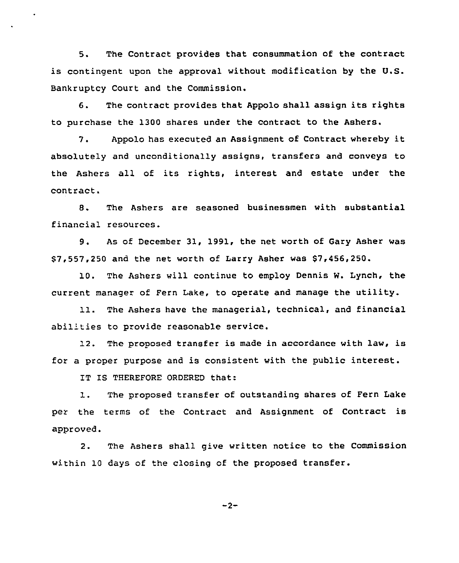5. The Contract provides that consummation of the contract is contingent upon the approval without modification by the U.S. Bankruptcy Court and the Commission.

6. The contract provides that Appolo shall assign its rights to purchase the 1300 shares under the contract to the Ashers.

7. Appolo has executed an Assignment of Contract whereby it absolutely and unconditionally assigns, transfers and conveys to the Ashers all of its rights, interest and estate under the contract.

8. The Ashers are seasoned businessmen with substantial financial resources.

9. As of December 31, 1991, the net worth of Gary Asher was \$7,557,250 and the net worth of Larry Asher was \$7,456,250.

10. The Ashers will continue to employ Dennis W. Lynch, the current manager of Fern Lake, to operate and manage the utility.

11. The Ashers have the managerial, technical, and financial abilities to provide reasonable service.

12. The proposed transfer is made in accordance with law, is for a proper purpose and is consistent with the public interest.

IT IS THEREFORE ORDERED that:

1. The proposed transfer of outstanding shares of Fern Lake per the terms of the Contract and Assignment of Contract is approved.

2. The Ashers shall give written notice to the Commission within 10 days of the closing of the proposed transfer.

$$
-2-
$$